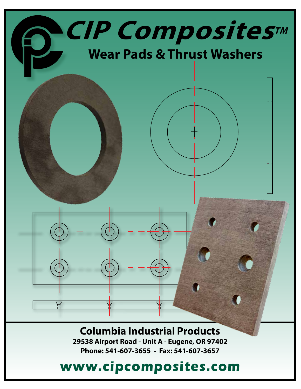

## **Columbia Industrial Products**

**29538 Airport Road - Unit A - Eugene, OR 97402 Phone: 541-607-3655 - Fax: 541-607-3657**

# **www.cipcomposites.com**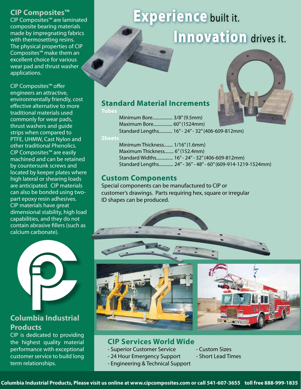#### **CIP Composites™**

CIP Composites™ are laminated composite bearing materials made by impregnating fabrics with thermosetting resins. The physical properties of CIP Composites™ make them an excellent choice for various wear pad and thrust washer applications.

CIP Composites™ offer engineers an attractive, environmentally friendly, cost effective alternative to more traditional materials used commonly for wear pads, thrust washers and guide strips when compared to PTFE, UHMW, Cast Nylon and other traditional Phenolics. CIP Composites™ are easily machined and can be retained by countersunk screws and located by keeper plates where high lateral or shearing loads are anticipated. CIP materials can also be bonded using twopart epoxy resin adhesives. CIP materials have great dimensional stability, high load capabilities, and they do not contain abrasive fillers (such as calcium carbonate).



### **Columbia Industrial Products**

CIP is dedicated to providing the highest quality material performance with exceptional customer service to build long term relationships.

# **Experience built it. Innovation** drives it.



### **Standard Material Increments**

#### **Tubes**

Minimum Bore.................. 3/8" (9.5mm) Maximum Bore................. 60" (1524mm) Standard Lengths............ 16" - 24" - 32" (406-609-812mm)

#### **Sheets**

Minimum Thickness........ 1/16" (1.6mm) Maximum Thickness........ 6" (152.4mm) Standard Widths............... 16" - 24" - 32" (406-609-812mm) Standard Lengths............. 24" - 36" - 48" - 60" (609-914-1219-1524mm)

### **Custom Components**

Special components can be manufactured to CIP or customer's drawings. Parts requiring hex, square or irregular ID shapes can be produced.



#### **CIP Services World Wide**

- Superior Customer Service Custom Sizes
- 24 Hour Emergency Support Short Lead Times
- Engineering & Technical Support
- 
-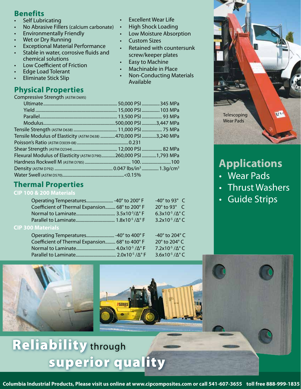### **Benefits**

- **Self Lubricating**
- No Abrasive Fillers (calcium carbonate)
- Environmentally Friendly
- Wet or Dry Running
- Exceptional Material Performance Stable in water, corrosive fluids and chemical solutions
- Low Coefficient of Friction
- Edge Load Tolerant
- Eliminate Stick Slip

### **Physical Properties**

Compressive Strength (ASTM D695)

| Tensile Modulus of Elasticity (ASTM D638) 470,000 PSI 3,240 MPa |  |
|-----------------------------------------------------------------|--|
|                                                                 |  |
|                                                                 |  |
| Flexural Modulus of Elasticity (ASTM D790)260,000 PSI 1,793 MPa |  |
|                                                                 |  |
|                                                                 |  |
|                                                                 |  |
|                                                                 |  |

### **Thermal Properties**

**CIP 100 & 200 Materials**

|                                                | $-40^\circ$ to 93 $^\circ$ C       |  |
|------------------------------------------------|------------------------------------|--|
| Coefficient of Thermal Expansion 68° to 200° F | $20^\circ$ to 93 $^\circ$ C        |  |
|                                                | 6.3x10 <sup>-5</sup> / $\Delta$ °C |  |
|                                                | $3.2x10^{-5}$ / $\Delta$ °C        |  |
| $\Omega$ $M$ staviala                          |                                    |  |

#### **CIP 300 Materials**

|                                                | -40 $^{\circ}$ to 204 $^{\circ}$ C |
|------------------------------------------------|------------------------------------|
| Coefficient of Thermal Expansion 68° to 400° F | 20 $\degree$ to 204 $\degree$ C    |
|                                                | 7.2x10 <sup>-5</sup> / $\Delta$ °C |
|                                                | 3.6x10 <sup>-5</sup> / $\Delta$ °C |

**PSERIES** 

**Excellent Wear Life** • High Shock Loading Low Moisture Absorption

screw/keeper plates Easy to Machine • Machinable in Place

• Retained with countersunk

• Non-Conducting Materials

• Custom Sizes

Available



## **Applications**

- Wear Pads
- Thrust Washers
- Guide Strips

# **Reliability through** superior quality